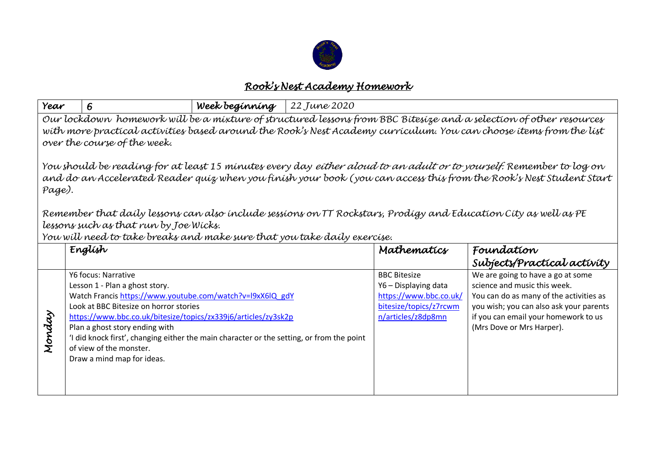

## *Rook's Nest Academy Homework*

| Year                                                                                                                                                                                                                                                                     | 6                                                                                                                                                                                                                                                                                                                                                                                                                      | Week beginning | 22 June 2020 |                                                                                                                       |                                                                                                                                                                                                                              |  |  |
|--------------------------------------------------------------------------------------------------------------------------------------------------------------------------------------------------------------------------------------------------------------------------|------------------------------------------------------------------------------------------------------------------------------------------------------------------------------------------------------------------------------------------------------------------------------------------------------------------------------------------------------------------------------------------------------------------------|----------------|--------------|-----------------------------------------------------------------------------------------------------------------------|------------------------------------------------------------------------------------------------------------------------------------------------------------------------------------------------------------------------------|--|--|
| Our lockdown homework will be a mixture of structured lessons from BBC Bitesize and a selection of other resources<br>with more practical activities based around the Rook's Nest Academy curriculum. You can choose items from the list<br>over the course of the week. |                                                                                                                                                                                                                                                                                                                                                                                                                        |                |              |                                                                                                                       |                                                                                                                                                                                                                              |  |  |
| You should be reading for at least 15 minutes every day <i>either aloud to an adult or to yourself.</i> Remember to log on<br>and do an Accelerated Reader quiz when you finish your book (you can access this from the Rook's Nest Student Start<br>Page).              |                                                                                                                                                                                                                                                                                                                                                                                                                        |                |              |                                                                                                                       |                                                                                                                                                                                                                              |  |  |
| Remember that daily lessons can also include sessions on TT Rockstars, Prodigy and Education City as well as PE<br>lessons such as that run by Joe Wicks.<br>You will need to take breaks and make sure that you take daily exercise.                                    |                                                                                                                                                                                                                                                                                                                                                                                                                        |                |              |                                                                                                                       |                                                                                                                                                                                                                              |  |  |
|                                                                                                                                                                                                                                                                          | English                                                                                                                                                                                                                                                                                                                                                                                                                |                |              | Mathematics                                                                                                           | Foundation<br>Subjects/Practical activity                                                                                                                                                                                    |  |  |
| Monday                                                                                                                                                                                                                                                                   | Y6 focus: Narrative<br>Lesson 1 - Plan a ghost story.<br>Watch Francis https://www.youtube.com/watch?v=l9xX6lQ gdY<br>Look at BBC Bitesize on horror stories<br>https://www.bbc.co.uk/bitesize/topics/zx339j6/articles/zy3sk2p<br>Plan a ghost story ending with<br>'I did knock first', changing either the main character or the setting, or from the point<br>of view of the monster.<br>Draw a mind map for ideas. |                |              | <b>BBC Bitesize</b><br>Y6 - Displaying data<br>https://www.bbc.co.uk/<br>bitesize/topics/z7rcwm<br>n/articles/z8dp8mn | We are going to have a go at some<br>science and music this week.<br>You can do as many of the activities as<br>you wish; you can also ask your parents<br>if you can email your homework to us<br>(Mrs Dove or Mrs Harper). |  |  |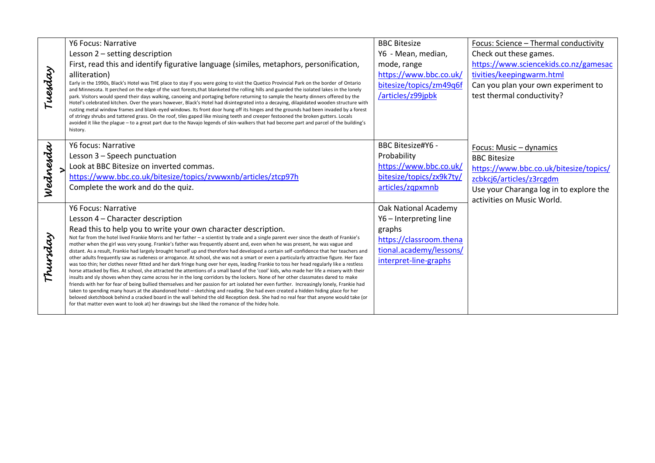|          | <b>Y6 Focus: Narrative</b>                                                                                                                                                                                                                                                           | <b>BBC Bitesize</b>      | Focus: Science - Thermal conductivity   |
|----------|--------------------------------------------------------------------------------------------------------------------------------------------------------------------------------------------------------------------------------------------------------------------------------------|--------------------------|-----------------------------------------|
| Tuesday  | Lesson 2 - setting description                                                                                                                                                                                                                                                       | Y6 - Mean, median,       | Check out these games.                  |
|          | First, read this and identify figurative language (similes, metaphors, personification,                                                                                                                                                                                              | mode, range              | https://www.sciencekids.co.nz/gamesac   |
|          | alliteration)                                                                                                                                                                                                                                                                        | https://www.bbc.co.uk/   | tivities/keepingwarm.html               |
|          | Early in the 1990s, Black's Hotel was THE place to stay if you were going to visit the Quetico Provincial Park on the border of Ontario<br>and Minnesota. It perched on the edge of the vast forests, that blanketed the rolling hills and guarded the isolated lakes in the lonely  | bitesize/topics/zm49q6f  | Can you plan your own experiment to     |
|          | park. Visitors would spend their days walking, canoeing and portaging before returning to sample the hearty dinners offered by the                                                                                                                                                   | /articles/z99jpbk        | test thermal conductivity?              |
|          | Hotel's celebrated kitchen. Over the years however, Black's Hotel had disintegrated into a decaying, dilapidated wooden structure with<br>rusting metal window frames and blank-eyed windows. Its front door hung off its hinges and the grounds had been invaded by a forest        |                          |                                         |
|          | of stringy shrubs and tattered grass. On the roof, tiles gaped like missing teeth and creeper festooned the broken gutters. Locals                                                                                                                                                   |                          |                                         |
|          | avoided it like the plague - to a great part due to the Navajo legends of skin-walkers that had become part and parcel of the building's<br>history.                                                                                                                                 |                          |                                         |
|          |                                                                                                                                                                                                                                                                                      |                          |                                         |
| Wednesda | Y6 focus: Narrative                                                                                                                                                                                                                                                                  | BBC Bitesize#Y6 -        | Focus: Music - dynamics                 |
|          | Lesson 3 - Speech punctuation                                                                                                                                                                                                                                                        | Probability              | <b>BBC Bitesize</b>                     |
|          | Look at BBC Bitesize on inverted commas.                                                                                                                                                                                                                                             | https://www.bbc.co.uk/   | https://www.bbc.co.uk/bitesize/topics/  |
|          | https://www.bbc.co.uk/bitesize/topics/zvwwxnb/articles/ztcp97h                                                                                                                                                                                                                       | bitesize/topics/zx9k7ty/ | zcbkcj6/articles/z3rcgdm                |
|          | Complete the work and do the quiz.                                                                                                                                                                                                                                                   | articles/zqpxmnb         | Use your Charanga log in to explore the |
|          |                                                                                                                                                                                                                                                                                      |                          | activities on Music World.              |
|          | <b>Y6 Focus: Narrative</b>                                                                                                                                                                                                                                                           | Oak National Academy     |                                         |
|          | Lesson 4 - Character description                                                                                                                                                                                                                                                     | Y6 - Interpreting line   |                                         |
|          | Read this to help you to write your own character description.                                                                                                                                                                                                                       | graphs                   |                                         |
| Thursday | Not far from the hotel lived Frankie Morris and her father - a scientist by trade and a single parent ever since the death of Frankie's<br>mother when the girl was very young. Frankie's father was frequently absent and, even when he was present, he was vague and               | https://classroom.thena  |                                         |
|          | distant. As a result, Frankie had largely brought herself up and therefore had developed a certain self-confidence that her teachers and                                                                                                                                             | tional.academy/lessons/  |                                         |
|          | other adults frequently saw as rudeness or arrogance. At school, she was not a smart or even a particularly attractive figure. Her face<br>was too thin; her clothes never fitted and her dark fringe hung over her eyes, leading Frankie to toss her head regularly like a restless | interpret-line-graphs    |                                         |
|          | horse attacked by flies. At school, she attracted the attentions of a small band of the 'cool' kids, who made her life a misery with their                                                                                                                                           |                          |                                         |
|          | insults and sly shoves when they came across her in the long corridors by the lockers. None of her other classmates dared to make<br>friends with her for fear of being bullied themselves and her passion for art isolated her even further. Increasingly lonely, Frankie had       |                          |                                         |
|          | taken to spending many hours at the abandoned hotel - sketching and reading. She had even created a hidden hiding place for her                                                                                                                                                      |                          |                                         |
|          | beloved sketchbook behind a cracked board in the wall behind the old Reception desk. She had no real fear that anyone would take (or<br>for that matter even want to look at) her drawings but she liked the romance of the hidey hole.                                              |                          |                                         |
|          |                                                                                                                                                                                                                                                                                      |                          |                                         |